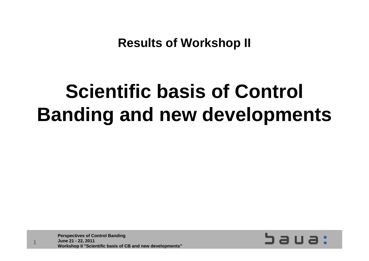**Results of Workshop II**

### **Scientific basis of Control Banding and new developments**

**Perspectives of Control Banding June 21 - 22, 2011 Workshop II "Scientific basis of CB and new developments"**

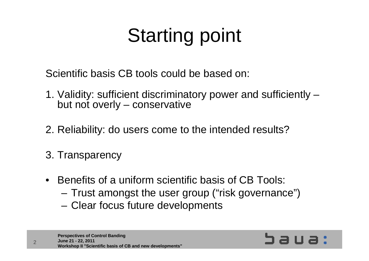## Starting point

Scientific basis CB tools could be based on:

- 1. Validity: sufficient discriminatory power and sufficiently but not overly – conservative
- 2. Reliability: do users come to the intended results?
- 3. Transparency
- Benefits of a uniform scientific basis of CB Tools:
	- Trust amongst the user group ("risk governance")
	- Clear focus future developments

**Perspectives of Control Banding June 21 - 22, 2011 Workshop II "Scientific basis of CB and new developments"**

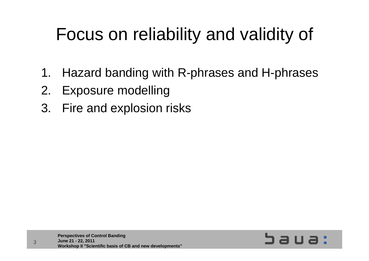### Focus on reliability and validity of

- 1. Hazard banding with R-phrases and H-phrases
- 2. Exposure modelling
- 3. Fire and explosion risks

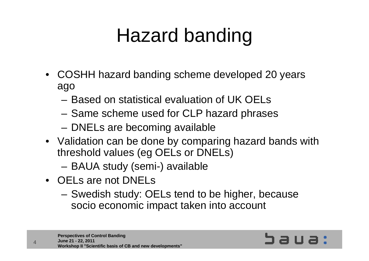## Hazard banding

- COSHH hazard banding scheme developed 20 years ago
	- Based on statistical evaluation of UK OELs
	- Same scheme used for CLP hazard phrases
	- DNELs are becoming available
- Validation can be done by comparing hazard bands with threshold values (eg OELs or DNELs)
	- BAUA study (semi-) available
- OELs are not DNELs

 $\Delta$ 

 Swedish study: OELs tend to be higher, because socio economic impact taken into account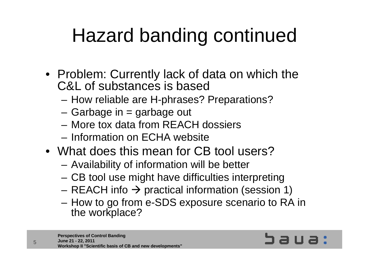### Hazard banding continued

- Problem: Currently lack of data on which the C&L of substances is based
	- –How reliable are H-phrases? Preparations?
	- Garbage in = garbage out
	- More tox data from REACH dossiers
	- Information on ECHA website
- What does this mean for CB tool users?
	- –Availability of information will be better
	- CB tool use might have difficulties interpreting
	- REACH info  $\rightarrow$  practical information (session 1)
	- – How to go from e-SDS exposure scenario to RA in the workplace?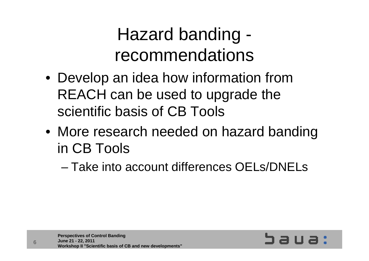#### Hazard banding recommendations

- Develop an idea how information from REACH can be used to upgrade the scientific basis of CB Tools
- More research needed on hazard banding in CB Tools

– Take into account differences OELs/DNELs

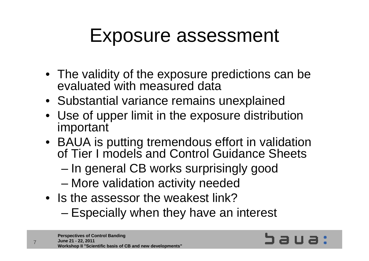### Exposure assessment

- The validity of the exposure predictions can be evaluated with measured data
- Substantial variance remains unexplained
- Use of upper limit in the exposure distribution important
- BAUA is putting tremendous effort in validation of Tier I models and Control Guidance Sheets
	- –In general CB works surprisingly good
	- –More validation activity needed
- Is the assessor the weakest link?
	- Especially when they have an interest

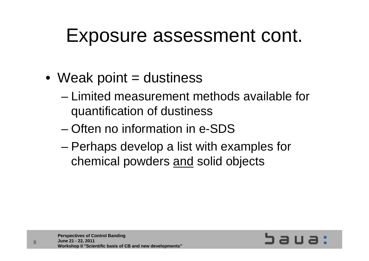### Exposure assessment cont.

- $\bullet\,$  Weak point = dustiness
	- Limited measurement methods available for quantification of dustiness
	- Often no information in e-SDS
	- – Perhaps develop a list with examples for chemical powders and solid objects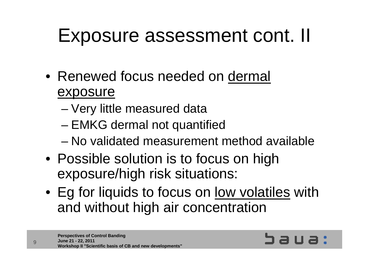### Exposure assessment cont. II

- Renewed focus needed on dermal exposure
	- –Very little measured data
	- –EMKG dermal not quantified
	- No validated measurement method available
- Possible solution is to focus on high exposure/high risk situations:
- Eg for liquids to focus on <u>low volatiles</u> with and without high air concentration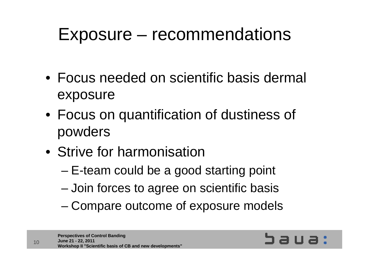#### Exposure – recommendations

- Focus needed on scientific basis dermal exposure
- Focus on quantification of dustiness of powders
- Strive for harmonisation
	- –E-team could be a good starting point
	- Join forces to agree on scientific basis
	- –Compare outcome of exposure models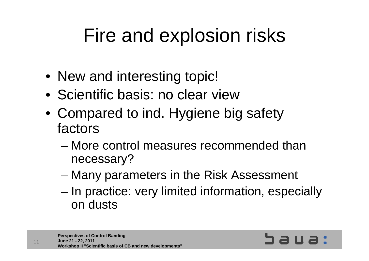### Fire and explosion risks

- New and interesting topic!
- Scientific basis: no clear view
- Compared to ind. Hygiene big safety factors
	- More control measures recommended than necessary?
	- –Many parameters in the Risk Assessment
	- – In practice: very limited information, especially on dusts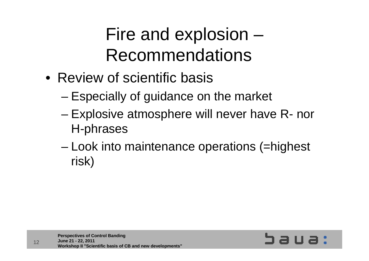#### Fire and explosion – Recommendations

- Review of scientific basis
	- –Especially of guidance on the market
	- – Explosive atmosphere will never have R- nor H-phrases
	- – Look into maintenance operations (=highest risk)

**Workshop II "Scientific basis of CB and new developments"**